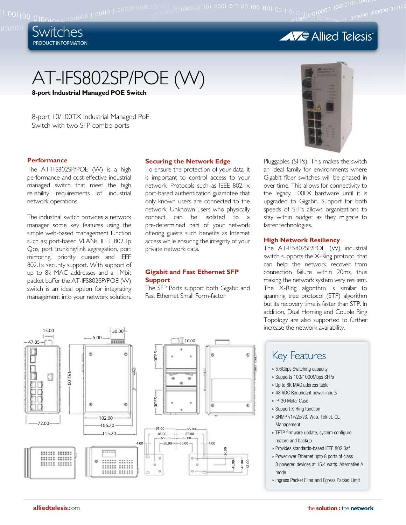

10011001010010

**AVE** Allied Telesis

101110010010101010101<br>100000010000001010100

# AT-IFS802SP/POE (W)

**8-port Industrial Managed POE Switch**

8-port 10/100TX Industrial Managed PoE Switch with two SFP combo ports

The AT-IFS802SP/POE (W) is a high performance and cost-effective industrial managed switch that meet the high reliability requirements of industrial network operations.

The industrial switch provides a network manager some key features using the simple web-based management function such as; port-based VLANs, IEEE 802.1p Qos, port trunking/link aggregation, port mirroring, priority queues and IEEE 802.1x security support. With support of up to 8k MAC addresses and a 1Mbit packet buffer the AT-IFS802SP/POE (W) switch is an ideal option for integrating management into your network solution.

### **Securing the Network Edge**

To ensure the protection of your data, it is important to control access to your network. Protocols such as IEEE 802.1x port-based authentication guarantee that only known users are connected to the network. Unknown users who physically connect can be isolated to a pre-determined part of your network offering guests such benefits as Internet access while ensuring the integrity of your private network data.

### **Gigabit and Fast Ethernet SFP Support**

The SFP Ports support both Gigabit and Fast Ethernet Small Form-factor



**Performance Exercise Securing the Network Edge** Pluggables (SFPs). This makes the switch an ideal family for environments where Gigabit fiber switches will be phased in over time. This allows for connectivity to the legacy 100FX hardware until it is upgraded to Gigabit. Support for both speeds of SFPs allows organizations to stay within budget as they migrate to faster technologies.

### **High Network Resiliency**

The AT-IFS802SP/POE (W) industrial switch supports the X-Ring protocol that can help the network recover from connection failure within 20ms, thus making the network system very resilient. The X-Ring algorithm is similar to spanning tree protocol (STP) algorithm but its recovery time is faster than STP. In addition, Dual Homing and Couple Ring Topology are also supported to further increase the network availability.

### Key Features

- 5.6Gbps Switching capacity »
- » Supports 100/1000Mbps SFPs
- Up to 8K MAC address table »
- 48 VDC Redundant power inputs »
- » IP-30 Metal Case
- » Support X-Ring function
- » SNMP v1/v2c/v3, Web, Telnet, CLI Management
- » TFTP firmware update, system configure restore and backup
- Provides standards-based IEEE 802.3af »
- » Power over Ethernet upto 8 ports of class 3 powered devices at 15.4 watts. Alternative A mode
- » Ingress Packet Filter and Egress Packet Limit